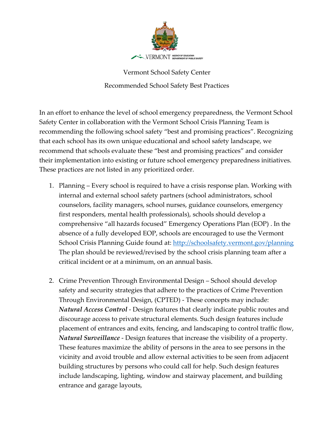

Vermont School Safety Center Recommended School Safety Best Practices

In an effort to enhance the level of school emergency preparedness, the Vermont School Safety Center in collaboration with the Vermont School Crisis Planning Team is recommending the following school safety "best and promising practices". Recognizing that each school has its own unique educational and school safety landscape, we recommend that schools evaluate these "best and promising practices" and consider their implementation into existing or future school emergency preparedness initiatives. These practices are not listed in any prioritized order.

- 1. Planning Every school is required to have a crisis response plan. Working with internal and external school safety partners (school administrators, school counselors, facility managers, school nurses, guidance counselors, emergency first responders, mental health professionals), schools should develop a comprehensive "all hazards focused" Emergency Operations Plan (EOP) . In the absence of a fully developed EOP, schools are encouraged to use the Vermont School Crisis Planning Guide found at:<http://schoolsafety.vermont.gov/planning> The plan should be reviewed/revised by the school crisis planning team after a critical incident or at a minimum, on an annual basis.
- 2. Crime Prevention Through Environmental Design School should develop safety and security strategies that adhere to the practices of Crime Prevention Through Environmental Design, (CPTED) - These concepts may include: *Natural Access Control* - Design features that clearly indicate public routes and discourage access to private structural elements. Such design features include placement of entrances and exits, fencing, and landscaping to control traffic flow, *Natural Surveillance* - Design features that increase the visibility of a property. These features maximize the ability of persons in the area to see persons in the vicinity and avoid trouble and allow external activities to be seen from adjacent building structures by persons who could call for help. Such design features include landscaping, lighting, window and stairway placement, and building entrance and garage layouts,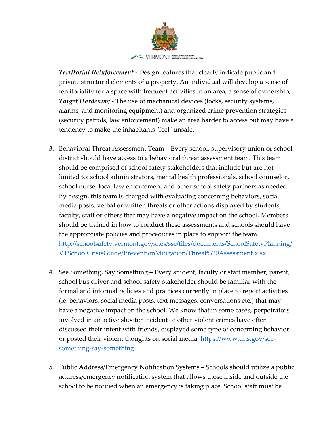

*Territorial Reinforcement* - Design features that clearly indicate public and private structural elements of a property. An individual will develop a sense of territoriality for a space with frequent activities in an area, a sense of ownership, *Target Hardening* - The use of mechanical devices (locks, security systems, alarms, and monitoring equipment) and organized crime prevention strategies (security patrols, law enforcement) make an area harder to access but may have a tendency to make the inhabitants "feel" unsafe.

- 3. Behavioral Threat Assessment Team Every school, supervisory union or school district should have access to a behavioral threat assessment team. This team should be comprised of school safety stakeholders that include but are not limited to: school administrators, mental health professionals, school counselor, school nurse, local law enforcement and other school safety partners as needed. By design, this team is charged with evaluating concerning behaviors, social media posts, verbal or written threats or other actions displayed by students, faculty, staff or others that may have a negative impact on the school. Members should be trained in how to conduct these assessments and schools should have the appropriate policies and procedures in place to support the team. [http://schoolsafety.vermont.gov/sites/ssc/files/documents/SchoolSafetyPlanning/](http://schoolsafety.vermont.gov/sites/ssc/files/documents/SchoolSafetyPlanning/VTSchoolCrisisGuide/PreventionMitigation/Threat%20Assessment.xlsx) [VTSchoolCrisisGuide/PreventionMitigation/Threat%20Assessment.xlsx](http://schoolsafety.vermont.gov/sites/ssc/files/documents/SchoolSafetyPlanning/VTSchoolCrisisGuide/PreventionMitigation/Threat%20Assessment.xlsx)
- 4. See Something, Say Something Every student, faculty or staff member, parent, school bus driver and school safety stakeholder should be familiar with the formal and informal policies and practices currently in place to report activities (ie. behaviors, social media posts, text messages, conversations etc.) that may have a negative impact on the school. We know that in some cases, perpetrators involved in an active shooter incident or other violent crimes have often discussed their intent with friends, displayed some type of concerning behavior or posted their violent thoughts on social media. [https://www.dhs.gov/see](https://www.dhs.gov/see-something-say-something)[something-say-something](https://www.dhs.gov/see-something-say-something)
- 5. Public Address/Emergency Notification Systems Schools should utilize a public address/emergency notification system that allows those inside and outside the school to be notified when an emergency is taking place. School staff must be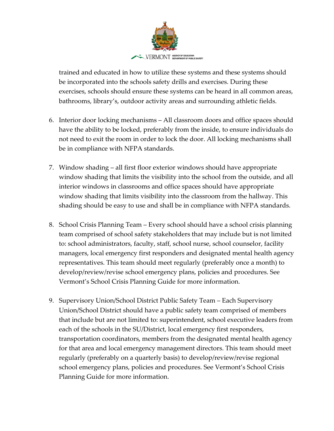

trained and educated in how to utilize these systems and these systems should be incorporated into the schools safety drills and exercises. During these exercises, schools should ensure these systems can be heard in all common areas, bathrooms, library's, outdoor activity areas and surrounding athletic fields.

- 6. Interior door locking mechanisms All classroom doors and office spaces should have the ability to be locked, preferably from the inside, to ensure individuals do not need to exit the room in order to lock the door. All locking mechanisms shall be in compliance with NFPA standards.
- 7. Window shading all first floor exterior windows should have appropriate window shading that limits the visibility into the school from the outside, and all interior windows in classrooms and office spaces should have appropriate window shading that limits visibility into the classroom from the hallway. This shading should be easy to use and shall be in compliance with NFPA standards.
- 8. School Crisis Planning Team Every school should have a school crisis planning team comprised of school safety stakeholders that may include but is not limited to: school administrators, faculty, staff, school nurse, school counselor, facility managers, local emergency first responders and designated mental health agency representatives. This team should meet regularly (preferably once a month) to develop/review/revise school emergency plans, policies and procedures. See Vermont's School Crisis Planning Guide for more information.
- 9. Supervisory Union/School District Public Safety Team Each Supervisory Union/School District should have a public safety team comprised of members that include but are not limited to: superintendent, school executive leaders from each of the schools in the SU/District, local emergency first responders, transportation coordinators, members from the designated mental health agency for that area and local emergency management directors. This team should meet regularly (preferably on a quarterly basis) to develop/review/revise regional school emergency plans, policies and procedures. See Vermont's School Crisis Planning Guide for more information.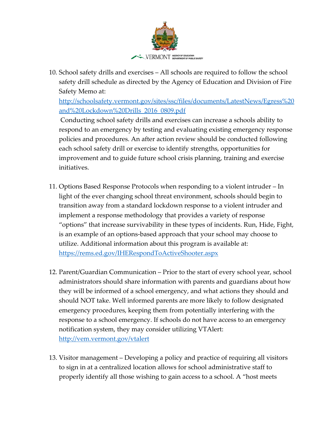

10. School safety drills and exercises – All schools are required to follow the school safety drill schedule as directed by the Agency of Education and Division of Fire Safety Memo at:

[http://schoolsafety.vermont.gov/sites/ssc/files/documents/LatestNews/Egress%20](http://schoolsafety.vermont.gov/sites/ssc/files/documents/LatestNews/Egress%20and%20Lockdown%20Drills_2016_0809.pdf) [and%20Lockdown%20Drills\\_2016\\_0809.pdf](http://schoolsafety.vermont.gov/sites/ssc/files/documents/LatestNews/Egress%20and%20Lockdown%20Drills_2016_0809.pdf)

Conducting school safety drills and exercises can increase a schools ability to respond to an emergency by testing and evaluating existing emergency response policies and procedures. An after action review should be conducted following each school safety drill or exercise to identify strengths, opportunities for improvement and to guide future school crisis planning, training and exercise initiatives.

- 11. Options Based Response Protocols when responding to a violent intruder In light of the ever changing school threat environment, schools should begin to transition away from a standard lockdown response to a violent intruder and implement a response methodology that provides a variety of response "options" that increase survivability in these types of incidents. Run, Hide, Fight, is an example of an options-based approach that your school may choose to utilize. Additional information about this program is available at: <https://rems.ed.gov/IHERespondToActiveShooter.aspx>
- 12. Parent/Guardian Communication Prior to the start of every school year, school administrators should share information with parents and guardians about how they will be informed of a school emergency, and what actions they should and should NOT take. Well informed parents are more likely to follow designated emergency procedures, keeping them from potentially interfering with the response to a school emergency. If schools do not have access to an emergency notification system, they may consider utilizing VTAlert: <http://vem.vermont.gov/vtalert>
- 13. Visitor management Developing a policy and practice of requiring all visitors to sign in at a centralized location allows for school administrative staff to properly identify all those wishing to gain access to a school. A "host meets